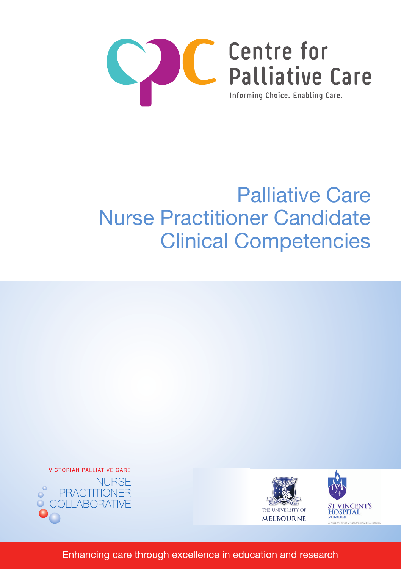

# Palliative Care Nurse Practitioner Candidate Clinical Competencies

VICTORIAN PALLIATIVE CARE **NURSE PRACTITIONER** COLLABORATIVE



Enhancing care through excellence in education and research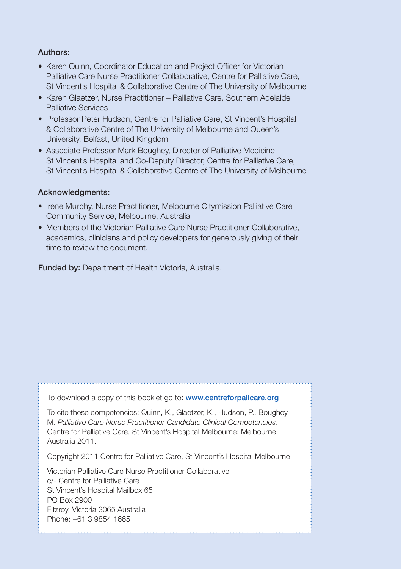#### Authors:

- Karen Quinn, Coordinator Education and Project Officer for Victorian Palliative Care Nurse Practitioner Collaborative, Centre for Palliative Care, St Vincent's Hospital & Collaborative Centre of The University of Melbourne
- Karen Glaetzer, Nurse Practitioner Palliative Care, Southern Adelaide Palliative Services
- Professor Peter Hudson, Centre for Palliative Care, St Vincent's Hospital & Collaborative Centre of The University of Melbourne and Queen's University, Belfast, United Kingdom
- Associate Professor Mark Boughey, Director of Palliative Medicine, St Vincent's Hospital and Co-Deputy Director, Centre for Palliative Care, St Vincent's Hospital & Collaborative Centre of The University of Melbourne

#### Acknowledgments:

- Irene Murphy, Nurse Practitioner, Melbourne Citymission Palliative Care Community Service, Melbourne, Australia
- Members of the Victorian Palliative Care Nurse Practitioner Collaborative, academics, clinicians and policy developers for generously giving of their time to review the document.

Funded by: Department of Health Victoria, Australia.

To download a copy of this booklet go to: www.centreforpallcare.org To cite these competencies: Quinn, K., Glaetzer, K., Hudson, P., Boughey, M. *Palliative Care Nurse Practitioner Candidate Clinical Competencies*. Centre for Palliative Care, St Vincent's Hospital Melbourne: Melbourne, Australia 2011. Copyright 2011 Centre for Palliative Care, St Vincent's Hospital Melbourne Victorian Palliative Care Nurse Practitioner Collaborative c/- Centre for Palliative Care St Vincent's Hospital Mailbox 65

PO Box 2900 Fitzroy, Victoria 3065 Australia Phone: +61 3 9854 1665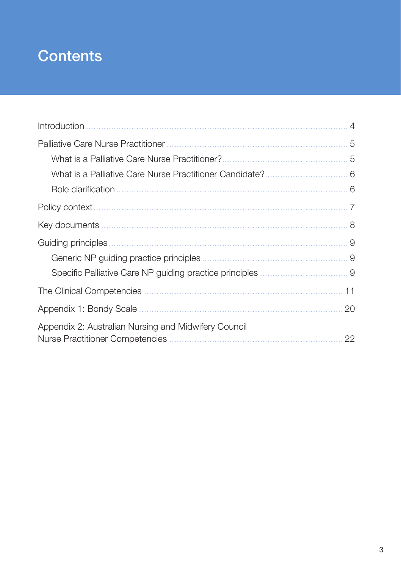# **Contents**

| Guiding principles                                         |  |
|------------------------------------------------------------|--|
|                                                            |  |
|                                                            |  |
| 11                                                         |  |
| 20                                                         |  |
| Appendix 2: Australian Nursing and Midwifery Council<br>22 |  |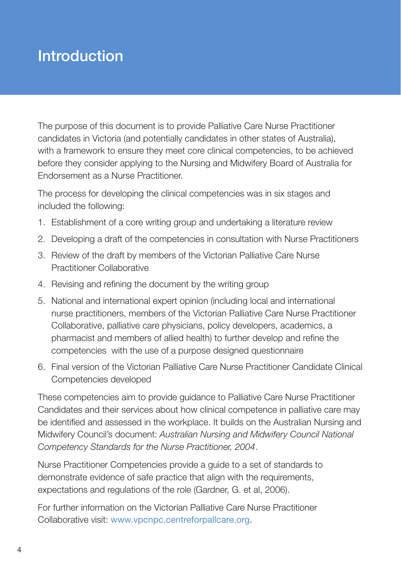### Introduction

The purpose of this document is to provide Palliative Care Nurse Practitioner candidates in Victoria (and potentially candidates in other states of Australia), with a framework to ensure they meet core clinical competencies, to be achieved before they consider applying to the Nursing and Midwifery Board of Australia for Endorsement as a Nurse Practitioner.

The process for developing the clinical competencies was in six stages and included the following:

- 1. Establishment of a core writing group and undertaking a literature review
- 2. Developing a draft of the competencies in consultation with Nurse Practitioners
- 3. Review of the draft by members of the Victorian Palliative Care Nurse Practitioner Collaborative
- 4. Revising and refining the document by the writing group
- 5. National and international expert opinion (including local and international nurse practitioners, members of the Victorian Palliative Care Nurse Practitioner Collaborative, palliative care physicians, policy developers, academics, a pharmacist and members of allied health) to further develop and refine the competencies with the use of a purpose designed questionnaire
- 6. Final version of the Victorian Palliative Care Nurse Practitioner Candidate Clinical Competencies developed

These competencies aim to provide guidance to Palliative Care Nurse Practitioner Candidates and their services about how clinical competence in palliative care may be identified and assessed in the workplace. It builds on the Australian Nursing and Midwifery Council's document: *Australian Nursing and Midwifery Council National Competency Standards for the Nurse Practitioner, 2004*.

Nurse Practitioner Competencies provide a guide to a set of standards to demonstrate evidence of safe practice that align with the requirements, expectations and regulations of the role (Gardner, G. et al, 2006).

For further information on the Victorian Palliative Care Nurse Practitioner Collaborative visit: www.vpcnpc.centreforpallcare.org.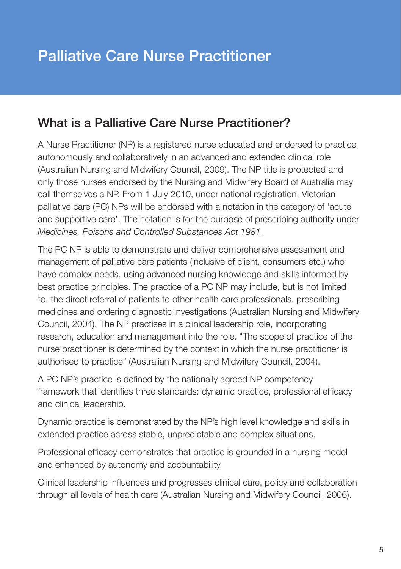### What is a Palliative Care Nurse Practitioner?

A Nurse Practitioner (NP) is a registered nurse educated and endorsed to practice autonomously and collaboratively in an advanced and extended clinical role (Australian Nursing and Midwifery Council, 2009). The NP title is protected and only those nurses endorsed by the Nursing and Midwifery Board of Australia may call themselves a NP. From 1 July 2010, under national registration, Victorian palliative care (PC) NPs will be endorsed with a notation in the category of 'acute and supportive care'. The notation is for the purpose of prescribing authority under *Medicines, Poisons and Controlled Substances Act 1981*.

The PC NP is able to demonstrate and deliver comprehensive assessment and management of palliative care patients (inclusive of client, consumers etc.) who have complex needs, using advanced nursing knowledge and skills informed by best practice principles. The practice of a PC NP may include, but is not limited to, the direct referral of patients to other health care professionals, prescribing medicines and ordering diagnostic investigations (Australian Nursing and Midwifery Council, 2004). The NP practises in a clinical leadership role, incorporating research, education and management into the role. "The scope of practice of the nurse practitioner is determined by the context in which the nurse practitioner is authorised to practice" (Australian Nursing and Midwifery Council, 2004).

A PC NP's practice is defined by the nationally agreed NP competency framework that identifies three standards: dynamic practice, professional efficacy and clinical leadership.

Dynamic practice is demonstrated by the NP's high level knowledge and skills in extended practice across stable, unpredictable and complex situations.

Professional efficacy demonstrates that practice is grounded in a nursing model and enhanced by autonomy and accountability.

Clinical leadership influences and progresses clinical care, policy and collaboration through all levels of health care (Australian Nursing and Midwifery Council, 2006).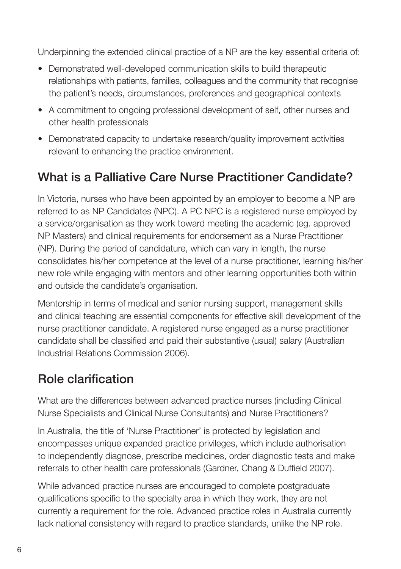Underpinning the extended clinical practice of a NP are the key essential criteria of:

- Demonstrated well-developed communication skills to build therapeutic relationships with patients, families, colleagues and the community that recognise the patient's needs, circumstances, preferences and geographical contexts
- • A commitment to ongoing professional development of self, other nurses and other health professionals
- Demonstrated capacity to undertake research/quality improvement activities relevant to enhancing the practice environment.

### What is a Palliative Care Nurse Practitioner Candidate?

In Victoria, nurses who have been appointed by an employer to become a NP are referred to as NP Candidates (NPC). A PC NPC is a registered nurse employed by a service/organisation as they work toward meeting the academic (eg. approved NP Masters) and clinical requirements for endorsement as a Nurse Practitioner (NP). During the period of candidature, which can vary in length, the nurse consolidates his/her competence at the level of a nurse practitioner, learning his/her new role while engaging with mentors and other learning opportunities both within and outside the candidate's organisation.

Mentorship in terms of medical and senior nursing support, management skills and clinical teaching are essential components for effective skill development of the nurse practitioner candidate. A registered nurse engaged as a nurse practitioner candidate shall be classified and paid their substantive (usual) salary (Australian Industrial Relations Commission 2006).

### Role clarification

What are the differences between advanced practice nurses (including Clinical Nurse Specialists and Clinical Nurse Consultants) and Nurse Practitioners?

In Australia, the title of 'Nurse Practitioner' is protected by legislation and encompasses unique expanded practice privileges, which include authorisation to independently diagnose, prescribe medicines, order diagnostic tests and make referrals to other health care professionals (Gardner, Chang & Duffield 2007).

While advanced practice nurses are encouraged to complete postgraduate qualifications specific to the specialty area in which they work, they are not currently a requirement for the role. Advanced practice roles in Australia currently lack national consistency with regard to practice standards, unlike the NP role.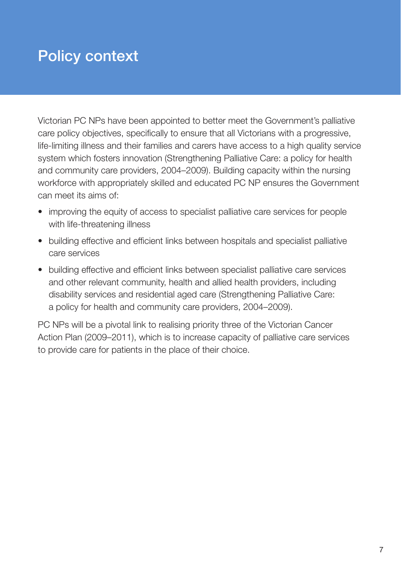## Policy context

Victorian PC NPs have been appointed to better meet the Government's palliative care policy objectives, specifically to ensure that all Victorians with a progressive, life-limiting illness and their families and carers have access to a high quality service system which fosters innovation (Strengthening Palliative Care: a policy for health and community care providers, 2004–2009). Building capacity within the nursing workforce with appropriately skilled and educated PC NP ensures the Government can meet its aims of:

- improving the equity of access to specialist palliative care services for people with life-threatening illness
- building effective and efficient links between hospitals and specialist palliative care services
- building effective and efficient links between specialist palliative care services and other relevant community, health and allied health providers, including disability services and residential aged care (Strengthening Palliative Care: a policy for health and community care providers, 2004–2009).

PC NPs will be a pivotal link to realising priority three of the Victorian Cancer Action Plan (2009–2011), which is to increase capacity of palliative care services to provide care for patients in the place of their choice.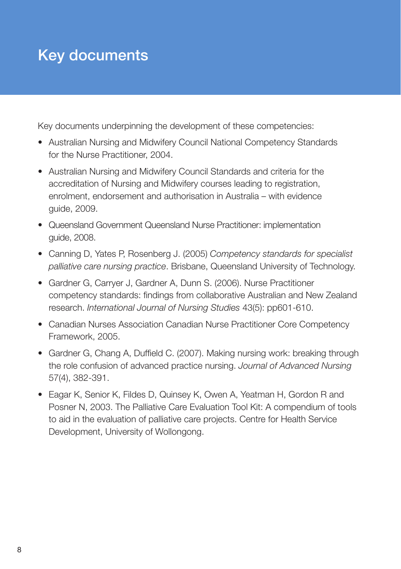## Key documents

Key documents underpinning the development of these competencies:

- Australian Nursing and Midwifery Council National Competency Standards for the Nurse Practitioner, 2004.
- Australian Nursing and Midwifery Council Standards and criteria for the accreditation of Nursing and Midwifery courses leading to registration, enrolment, endorsement and authorisation in Australia – with evidence guide, 2009.
- Queensland Government Queensland Nurse Practitioner: implementation guide, 2008.
- • Canning D, Yates P, Rosenberg J. (2005) *Competency standards for specialist palliative care nursing practice*. Brisbane, Queensland University of Technology.
- Gardner G, Carryer J, Gardner A, Dunn S. (2006). Nurse Practitioner competency standards: findings from collaborative Australian and New Zealand research. *International Journal of Nursing Studies* 43(5): pp601-610.
- Canadian Nurses Association Canadian Nurse Practitioner Core Competency Framework, 2005.
- Gardner G, Chang A, Duffield C. (2007). Making nursing work: breaking through the role confusion of advanced practice nursing. *Journal of Advanced Nursing* 57(4), 382-391.
- Eagar K, Senior K, Fildes D, Quinsey K, Owen A, Yeatman H, Gordon R and Posner N, 2003. The Palliative Care Evaluation Tool Kit: A compendium of tools to aid in the evaluation of palliative care projects. Centre for Health Service Development, University of Wollongong.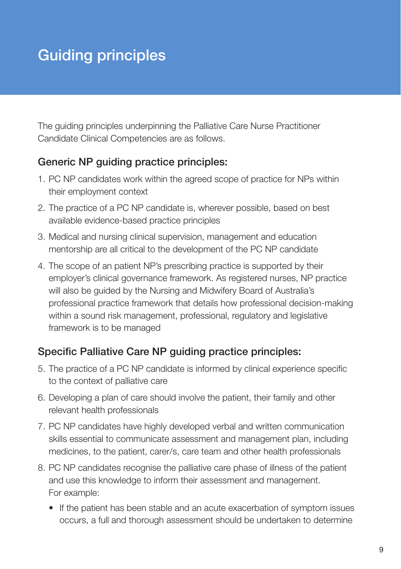# Guiding principles

The guiding principles underpinning the Palliative Care Nurse Practitioner Candidate Clinical Competencies are as follows.

#### Generic NP guiding practice principles:

- 1. PC NP candidates work within the agreed scope of practice for NPs within their employment context
- 2. The practice of a PC NP candidate is, wherever possible, based on best available evidence-based practice principles
- 3. Medical and nursing clinical supervision, management and education mentorship are all critical to the development of the PC NP candidate
- 4. The scope of an patient NP's prescribing practice is supported by their employer's clinical governance framework. As registered nurses, NP practice will also be guided by the Nursing and Midwifery Board of Australia's professional practice framework that details how professional decision-making within a sound risk management, professional, regulatory and legislative framework is to be managed

#### Specific Palliative Care NP guiding practice principles:

- 5. The practice of a PC NP candidate is informed by clinical experience specific to the context of palliative care
- 6. Developing a plan of care should involve the patient, their family and other relevant health professionals
- 7. PC NP candidates have highly developed verbal and written communication skills essential to communicate assessment and management plan, including medicines, to the patient, carer/s, care team and other health professionals
- 8. PC NP candidates recognise the palliative care phase of illness of the patient and use this knowledge to inform their assessment and management. For example:
	- If the patient has been stable and an acute exacerbation of symptom issues occurs, a full and thorough assessment should be undertaken to determine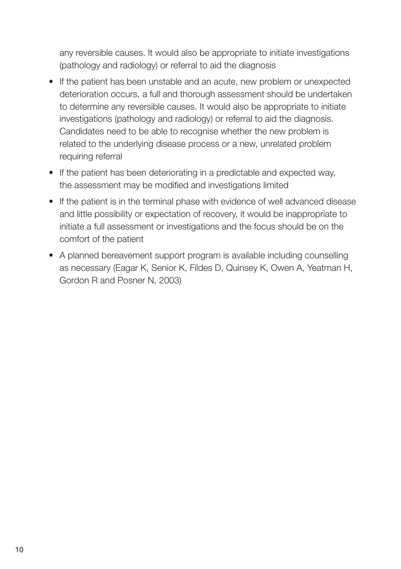any reversible causes. It would also be appropriate to initiate investigations (pathology and radiology) or referral to aid the diagnosis

- If the patient has been unstable and an acute, new problem or unexpected deterioration occurs, a full and thorough assessment should be undertaken to determine any reversible causes. It would also be appropriate to initiate investigations (pathology and radiology) or referral to aid the diagnosis. Candidates need to be able to recognise whether the new problem is related to the underlying disease process or a new, unrelated problem requiring referral
- If the patient has been deteriorating in a predictable and expected way. the assessment may be modified and investigations limited
- If the patient is in the terminal phase with evidence of well advanced disease and little possibility or expectation of recovery, it would be inappropriate to initiate a full assessment or investigations and the focus should be on the comfort of the patient
- A planned bereavement support program is available including counselling as necessary (Eagar K, Senior K, Fildes D, Quinsey K, Owen A, Yeatman H, Gordon R and Posner N, 2003)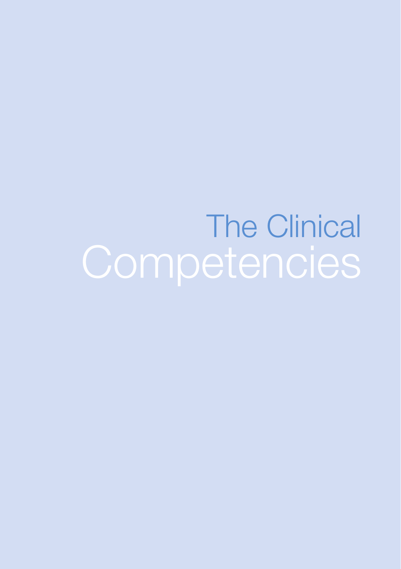The Clinical Competencies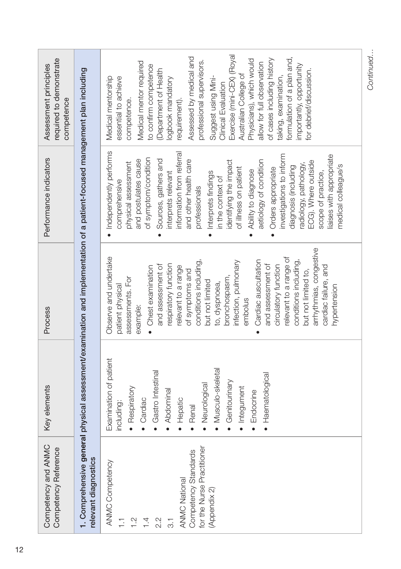| Competency and ANMC<br>Competency Reference                                                                                                                                                   | Key elements                                                                                                                                                                                                                             | Process                                                                                                                                                                                                                                                                                                                                                                                                                                                                                                                    | Performance indicators                                                                                                                                                                                                                                                                                                                                                                                                                                                                                                                                                                 | required to demonstrate<br>Assessment principles<br>competence                                                                                                                                                                                                                                                                                                                                                                                                                                                                                |
|-----------------------------------------------------------------------------------------------------------------------------------------------------------------------------------------------|------------------------------------------------------------------------------------------------------------------------------------------------------------------------------------------------------------------------------------------|----------------------------------------------------------------------------------------------------------------------------------------------------------------------------------------------------------------------------------------------------------------------------------------------------------------------------------------------------------------------------------------------------------------------------------------------------------------------------------------------------------------------------|----------------------------------------------------------------------------------------------------------------------------------------------------------------------------------------------------------------------------------------------------------------------------------------------------------------------------------------------------------------------------------------------------------------------------------------------------------------------------------------------------------------------------------------------------------------------------------------|-----------------------------------------------------------------------------------------------------------------------------------------------------------------------------------------------------------------------------------------------------------------------------------------------------------------------------------------------------------------------------------------------------------------------------------------------------------------------------------------------------------------------------------------------|
| relevant diagnostics                                                                                                                                                                          | 1. Comprehensive general physical assessment/examination and implementation of a patient-focused management plan including                                                                                                               |                                                                                                                                                                                                                                                                                                                                                                                                                                                                                                                            |                                                                                                                                                                                                                                                                                                                                                                                                                                                                                                                                                                                        |                                                                                                                                                                                                                                                                                                                                                                                                                                                                                                                                               |
| for the Nurse Practitioner<br>Competency Standards<br>ANMC Competency<br><b>ANMC National</b><br>(Appendix 2)<br>$\frac{1}{2}$<br>1.4<br>$2.\overline{2}$<br>$\overline{a}$<br>$\overline{3}$ | Examination of patient<br>· Musculo-skeletal<br>Gastro Intestinal<br>· Haematological<br>Genitourinary<br>· Neurological<br>· Respiratory<br>· Integument<br>• Abdominal<br>· Endocrine<br>Cardiac<br>· Hepatic<br>including:<br>· Renal | arrhythmias, congestive<br>Observe and undertake<br>relevant to a range of<br>Cardiac auscultation<br>conditions including,<br>infection, pulmonary<br>conditions including,<br>respiratory function<br>circulatory function<br>and assessment of<br>and assessment of<br>relevant to a range<br>cardiac failure, and<br>• Chest examination<br>but not limited to,<br>of symptoms and<br>bronchospasm,<br>assessments. For<br>but not limited<br>to, dyspnoea,<br>patient physical<br>nypertension<br>embolus<br>example: | · Independently performs<br>nformation from referral<br>iaises with appropriate<br>investigations to inform<br>and postulates cause<br>of symptom/condition<br>Sources, gathers and<br>and other health care<br>identifying the impact<br>aetiology of condition<br>ECG). Where outside<br>physical assessment<br>medical colleague/s<br>adiology, pathology,<br>diagnosis (including<br>of illness on patient<br>Orders appropriate<br>Ability to diagnose<br>interprets relevant<br>scope of practice,<br>Interprets findings<br>in the context of<br>comprehensive<br>professionals | Exercise (mini-CEX) (Royal<br>Assessed by medical and<br>formulation of a plan and,<br>Physicians), which would<br>of cases including history<br>Medical mentor required<br>professional supervisors.<br>allow for full observation<br>importantly, opportunity<br>to confirm competence<br>Department of Health<br>for debrief/discussion.<br>Australian College of<br>taking, examination,<br>Medical mentorship<br>essential to achieve<br>Suggest using Mini-<br>logbook mandatory<br>Clinical Evaluation<br>competence.<br>requirement). |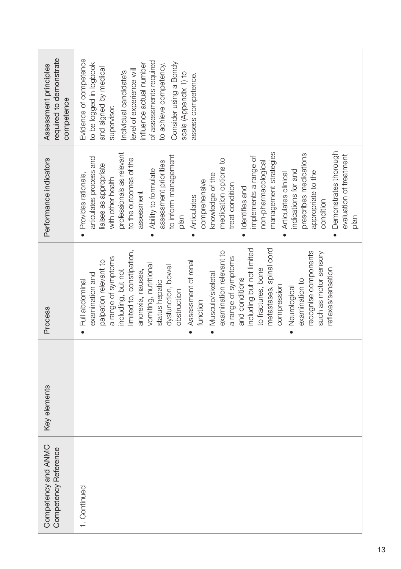| required to demonstrate<br>Assessment principles<br>competence | Evidence of competence<br>of assessments required<br>to be logged in logbook<br>influence actual number<br>Consider using a Bondy<br>to achieve competency.<br>and signed by medical<br>level of experience will<br>Individual candidate's<br>scale (Appendix 1) to<br>assess competence.<br>supervisor.                                                                                                                                                                                                                                                                                                                            |
|----------------------------------------------------------------|-------------------------------------------------------------------------------------------------------------------------------------------------------------------------------------------------------------------------------------------------------------------------------------------------------------------------------------------------------------------------------------------------------------------------------------------------------------------------------------------------------------------------------------------------------------------------------------------------------------------------------------|
| Performance indicators                                         | Demonstrates thorough<br>management strategies<br>prescribes medications<br>professionals as relevant<br>evaluation of treatment<br>to inform management<br>implements a range of<br>articulates process and<br>to the outcomes of the<br>medication options to<br>assessment priorities<br>non-pharmacological<br>liaises as appropriate<br>Ability to formulate<br>indications for and<br>appropriate to the<br>Provides rationale,<br>Articulates clinical<br>knowledge of the<br>with other health<br>comprehensive<br>treat condition<br>Identifies and<br>assessment<br>Articulates<br>condition<br>plan<br>plan<br>$\bullet$ |
| Process                                                        | including but not limited<br>metastases, spinal cord<br>examination relevant to<br>recognise components<br>limited to, constipation<br>such as motor sensory<br>a range of symptoms<br>a range of symptoms<br>palpation relevant to<br>Assessment of renal<br>vomiting, nutritional<br>dysfunction, bowel<br>reflexes/sensation<br>to fractures, bone<br>including, but not<br>anorexia, nausea,<br>• Musculo/skeletal<br>examination and<br>and conditions<br>examination to<br>Full abdominal<br>status hepatic<br>compression<br>· Neurological<br>obstruction<br>function                                                       |
| Key elements                                                   |                                                                                                                                                                                                                                                                                                                                                                                                                                                                                                                                                                                                                                     |
| Competency and ANMC<br>Competency Reference                    | 1. Continued                                                                                                                                                                                                                                                                                                                                                                                                                                                                                                                                                                                                                        |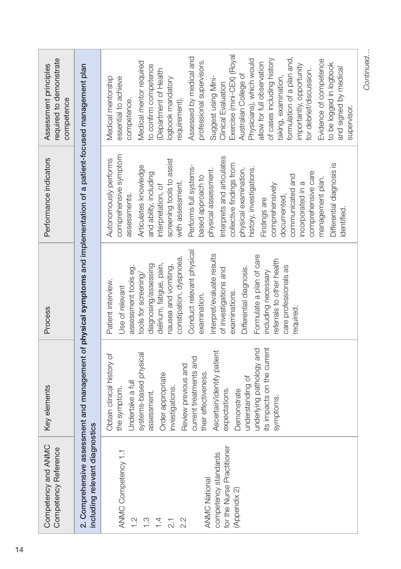| Competency and ANMC<br>Competency Reference                                                                                                                                                   | Key elements                                                                                                                                                                                                                                                                                                                                                                             | Process                                                                                                                                                                                                                                                                                                                                                                                                                                                          | Performance indicators                                                                                                                                                                                                                                                                                                                                                                                                                                                                                                                                          | required to demonstrate<br>Assessment principles<br>competence                                                                                                                                                                                                                                                                                                                                                                                                                                                                                                                                                                            |
|-----------------------------------------------------------------------------------------------------------------------------------------------------------------------------------------------|------------------------------------------------------------------------------------------------------------------------------------------------------------------------------------------------------------------------------------------------------------------------------------------------------------------------------------------------------------------------------------------|------------------------------------------------------------------------------------------------------------------------------------------------------------------------------------------------------------------------------------------------------------------------------------------------------------------------------------------------------------------------------------------------------------------------------------------------------------------|-----------------------------------------------------------------------------------------------------------------------------------------------------------------------------------------------------------------------------------------------------------------------------------------------------------------------------------------------------------------------------------------------------------------------------------------------------------------------------------------------------------------------------------------------------------------|-------------------------------------------------------------------------------------------------------------------------------------------------------------------------------------------------------------------------------------------------------------------------------------------------------------------------------------------------------------------------------------------------------------------------------------------------------------------------------------------------------------------------------------------------------------------------------------------------------------------------------------------|
| including relevant diagnostics                                                                                                                                                                |                                                                                                                                                                                                                                                                                                                                                                                          | 2. Comprehensive assessment and management of physical symptoms and implementation of a patient-focused management plan                                                                                                                                                                                                                                                                                                                                          |                                                                                                                                                                                                                                                                                                                                                                                                                                                                                                                                                                 |                                                                                                                                                                                                                                                                                                                                                                                                                                                                                                                                                                                                                                           |
| for the Nurse Practitioner<br>ANMC Competency 1.1<br>competency standards<br><b>ANMC National</b><br>(Appendix 2)<br>$\frac{1}{2}$<br>$\frac{3}{1}$<br>$\frac{1}{4}$<br>2.2<br>$\overline{2}$ | its impacts on the current<br>underlying pathology and<br>Ascertain/identify patient<br>systems-based physical<br>Obtain clinical history of<br>current treatments and<br>Review previous and<br>Order appropriate<br>their effectiveness.<br>understanding of<br>Undertake a full<br>investigations.<br>the symptom.<br><b>Demonstrate</b><br>expectations.<br>assessment.<br>symptoms. | Conduct relevant physical<br>Interpret/evaluate results<br>Formulate a plan of care<br>constipation, dyspnoea.<br>referrals to other health<br>delirium, fatigue, pain,<br>diagnosing/assessing<br>nausea and vomiting,<br>care professionals as<br>assessment tools eg.<br>Differential diagnosis.<br>of investigations and<br>including necessary<br>tools for screening/<br>Patient interview.<br>Use of relevant<br>examinations.<br>examination.<br>equired | comprehensive symptom<br>Interprets and articulates<br>Autonomously performs<br>screening tools to assist<br>Differential diagnosis is<br>collective findings from<br>Articulates knowledge<br>Performs full systems-<br>physical examination,<br>history, investigations.<br>physical assessment.<br>comprehensive care<br>and ability, including<br>communicated and<br>based approach to<br>management plan.<br>with assessment.<br>incorporated in a<br>comprehensively<br>interpretation, of<br>assessments.<br>documented,<br>Findings are<br>identified. | Exercise (mini-CEX) (Royal<br>Assessed by medical and<br>formulation of a plan and,<br>of cases including history<br>Physicians), which would<br>Evidence of competence<br>professional supervisors.<br>Medical mentor required<br>allow for full observation<br>to be logged in logbook<br>importantly, opportunity<br>to confirm competence<br>and signed by medical<br>for debrief/discussion.<br>Department of Health<br>Australian College of<br>taking, examination,<br>essential to achieve<br>Medical mentorship<br>Suggest using Mini-<br>logbook mandatory<br>Clinical Evaluation<br>competence.<br>equirement).<br>supervisor. |

Continued... *Continued…*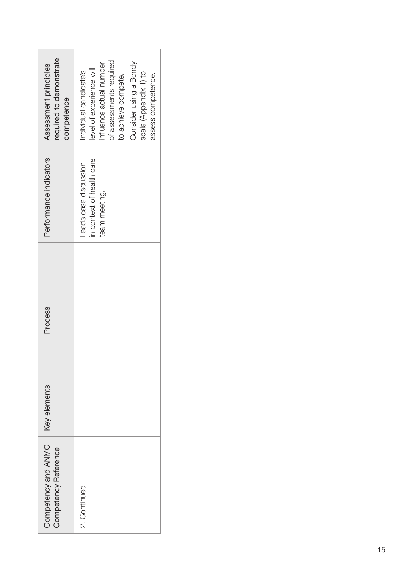| required to demonstrate<br>Assessment principles<br>competence | of assessments required<br>Consider using a Bondy<br>nfluence actual number<br>level of experience will<br>Individual candidate's<br>scale (Appendix 1) to<br>assess competence.<br>to achieve compete. |
|----------------------------------------------------------------|---------------------------------------------------------------------------------------------------------------------------------------------------------------------------------------------------------|
| Performance indicators                                         | n context of health care<br>eads case discussion<br>team meeting.                                                                                                                                       |
| Process                                                        |                                                                                                                                                                                                         |
|                                                                |                                                                                                                                                                                                         |
| Competency and ANMC   Key elements<br>Competency Reference     | 2. Continued                                                                                                                                                                                            |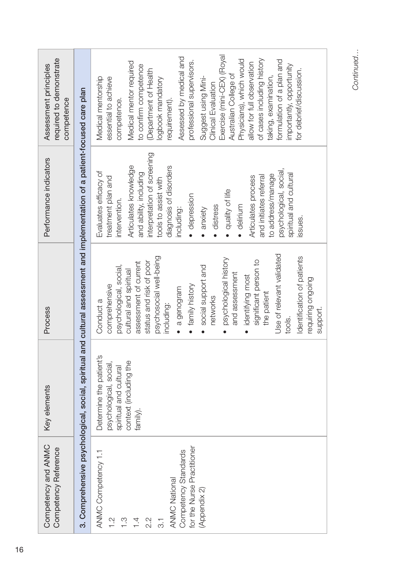| Competency and ANMC<br>Competency Reference                                                                                                                                                    | Key elements                                                                                                                | Process                                                                                                                                                                                                                                                                                                                                                                                                                                                            | Performance indicators                                                                                                                                                                                                                                                                                                                                                                                                            | required to demonstrate<br>Assessment principles<br>competence                                                                                                                                                                                                                                                                                                                                                                                                                                                                                |
|------------------------------------------------------------------------------------------------------------------------------------------------------------------------------------------------|-----------------------------------------------------------------------------------------------------------------------------|--------------------------------------------------------------------------------------------------------------------------------------------------------------------------------------------------------------------------------------------------------------------------------------------------------------------------------------------------------------------------------------------------------------------------------------------------------------------|-----------------------------------------------------------------------------------------------------------------------------------------------------------------------------------------------------------------------------------------------------------------------------------------------------------------------------------------------------------------------------------------------------------------------------------|-----------------------------------------------------------------------------------------------------------------------------------------------------------------------------------------------------------------------------------------------------------------------------------------------------------------------------------------------------------------------------------------------------------------------------------------------------------------------------------------------------------------------------------------------|
|                                                                                                                                                                                                | 3. Comprehensive psychological, social, spiritual and cultural assessment and implementation of a patient-focused care plan |                                                                                                                                                                                                                                                                                                                                                                                                                                                                    |                                                                                                                                                                                                                                                                                                                                                                                                                                   |                                                                                                                                                                                                                                                                                                                                                                                                                                                                                                                                               |
| for the Nurse Practitioner<br>Competency Standards<br>ANMC Competency 1.1<br><b>ANMC National</b><br>(Appendix 2)<br>$\frac{2}{1}$<br>$\frac{3}{1}$<br>$\overline{1}$<br>2.2<br>$\overline{3}$ | Determine the patient's<br>context (including the<br>psychological, social,<br>spiritual and cultural<br>family).           | Use of relevant validated<br>Identification of patients<br>psychosocial well-being<br>· psychological history<br>significant person to<br>status and risk of poor<br>assessment of current<br>social support and<br>psychological, social,<br>cultural and spiritual<br>and assessment<br>· identifying most<br>requiring ongoing<br>comprehensive<br>· family history<br>· a genogram<br>the patient<br>networks<br>Conduct a<br>including:<br>support.<br>tools. | interpretation of screening<br>Articulates knowledge<br>diagnosis of disorders<br>psychological, social,<br>Evaluates efficacy of<br>and ability, including<br>spiritual and cultural<br>to address/manage<br>and initiates referral<br>Articulates process<br>treatment plan and<br>tools to assist with<br>· quality of life<br>· depression<br>intervention.<br>· distress<br>· delirium<br>including:<br>· anxiety<br>issues. | Exercise (mini-CEX) (Royal<br>Assessed by medical and<br>Physicians), which would<br>of cases including history<br>formulation of a plan and<br>professional supervisors.<br>Medical mentor required<br>allow for full observation<br>importantly, opportunity<br>to confirm competence<br>(Department of Health<br>for debrief/discussion.<br>Australian College of<br>taking, examination,<br>Medical mentorship<br>essential to achieve<br>Suggest using Mini-<br>logbook mandatory<br>Clinical Evaluation<br>competence.<br>requirement). |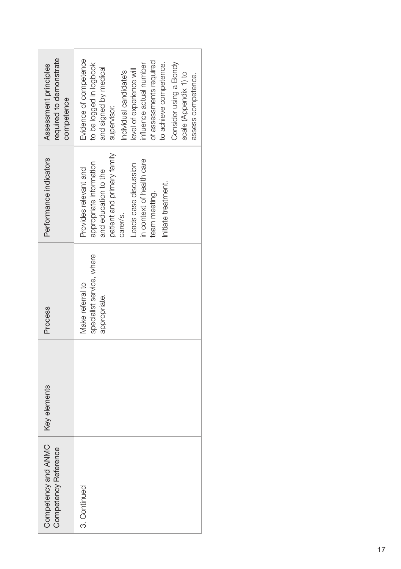| required to demonstrate<br>Assessment principles<br>competence | Evidence of competence<br>of assessments required<br>Consider using a Bondy<br>to be logged in logbook<br>to achieve competence.<br>influence actual number<br>and signed by medical<br>level of experience will<br>individual candidate's<br>scale (Appendix 1) to<br>assess competence.<br>supervisor. |
|----------------------------------------------------------------|----------------------------------------------------------------------------------------------------------------------------------------------------------------------------------------------------------------------------------------------------------------------------------------------------------|
| Performance indicators                                         | patient and primary family<br>in context of health care<br>appropriate information<br>-eads case discussion<br>Provides relevant and<br>and education to the<br>nitiate treatment.<br>team meeting.<br>carer/s.                                                                                          |
| Process                                                        | specialist service, where<br>Make referral to<br>appropriate.                                                                                                                                                                                                                                            |
| Key elements                                                   |                                                                                                                                                                                                                                                                                                          |
| Competency and ANMC<br>Competency Reference                    | 3. Continued                                                                                                                                                                                                                                                                                             |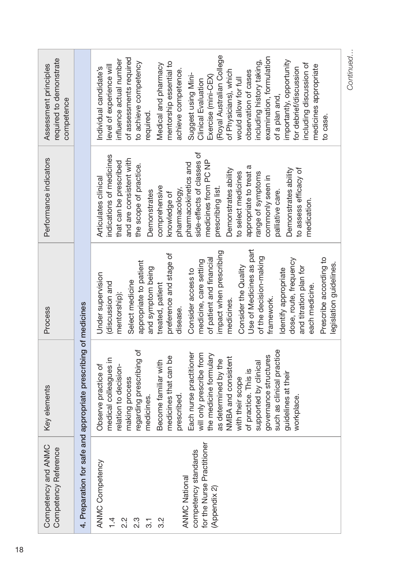| required to demonstrate<br>Assessment principles<br>competence |                                                                  | Royal Australian College<br>examination, formulation<br>of assessments required<br>influence actual number<br>including history taking,<br>importantly, opportunity<br>mentorship essential to<br>to achieve competency<br>including discussion of<br>Medical and pharmacy<br>level of experience will<br>medicines appropriate<br>for debrief/discussion<br>Individual candidate's<br>achieve competence.<br>observation of cases<br>of Physicians), which<br>Suggest using Mini-<br>Exercise (mini-CEX)<br>would allow for full<br>Clinical Evaluation<br>of a plan and,<br>required.<br>to case. |
|----------------------------------------------------------------|------------------------------------------------------------------|-----------------------------------------------------------------------------------------------------------------------------------------------------------------------------------------------------------------------------------------------------------------------------------------------------------------------------------------------------------------------------------------------------------------------------------------------------------------------------------------------------------------------------------------------------------------------------------------------------|
| Performance indicators                                         |                                                                  | side-effects of classes of<br>indications of medicines<br>and are consistent with<br>medicines from PC NP<br>that can be prescribed<br>pharmacokinetics and<br>the scope of practice.<br>appropriate to treat a<br>to assess efficacy of<br>Demonstrates ability<br>Demonstrates ability<br>to select medicines<br>range of symptoms<br>commonly seen in<br>Articulates clinical<br>comprehensive<br>prescribing list.<br>pharmacology,<br>palliative care.<br>Demonstrates<br>knowledge of<br>medication.                                                                                          |
| Process                                                        |                                                                  | Use of Medicines as part<br>impact when prescribing<br>preference and stage of<br>of the decision-making<br>Prescribe according to<br>of patient and financial<br>dose, route, frequency<br>medicine, care setting<br>appropriate to patient<br>legislation guidelines.<br>Consider the Quality<br>and titration plan for<br>and symptom being<br>Identify appropriate<br>Consider access to<br>Under supervision<br>Select medicine<br>discussion and<br>treated, patient<br>each medicine.<br>mentorship):<br>framework.<br>medicines.<br>disease.                                                |
| Key elements                                                   | 4. Preparation for safe and appropriate prescribing of medicines | regarding prescribing of<br>such as clinical practice<br>will only prescribe from<br>Each nurse practitioner<br>the medicine formulary<br>medicines that can be<br>governance structures<br>NMBA and consistent<br>medical colleagues in<br>as determined by the<br>Become familiar with<br>supported by clinical<br>relation to decision-<br>Observe practice of<br>of practice. This is<br>quidelines at their<br>with their scope<br>making process<br>prescribed.<br>medicines.<br>workplace.                                                                                                   |
| Competency and ANMC<br>Competency Reference                    |                                                                  | for the Nurse Practitioner<br>competency standards<br>ANMC Competency<br><b>ANMC National</b><br>(Appendix 2)<br>$\frac{1}{4}$<br>2.2<br>$2.\overline{3}$<br>3.2<br>3.1                                                                                                                                                                                                                                                                                                                                                                                                                             |

Continued... *Continued…*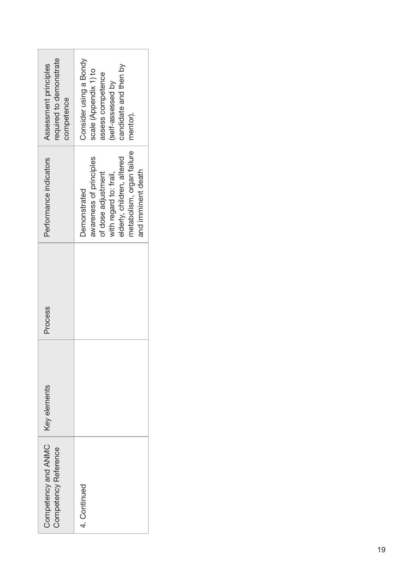| Competency and ANMC   Key elements<br>Competency Reference | Process | Performance indicators                                                                                                                                                       | equired to demonstrate<br>Assessment principles<br>competence                                                                 |
|------------------------------------------------------------|---------|------------------------------------------------------------------------------------------------------------------------------------------------------------------------------|-------------------------------------------------------------------------------------------------------------------------------|
| 4. Continued                                               |         | netabolism, organ failure<br>Iderly, children, altered<br>wareness of principles<br>and imminent death<br>f dose adjustment<br>with regard to: frail,<br><b>Jemonstrated</b> | Consider using a Bondy<br>candidate and then by<br>scale (Appendix 1) to<br>assess competence<br>self-assessed by<br>mentor). |

÷,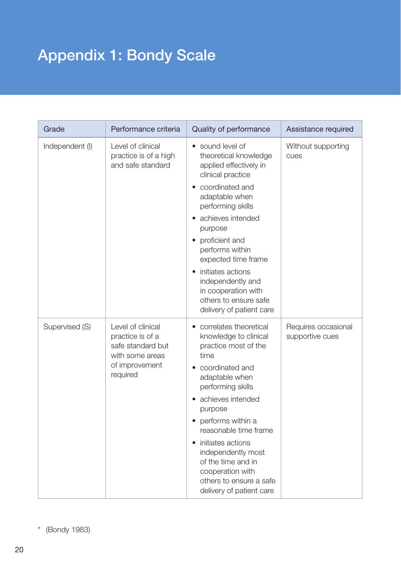# Appendix 1: Bondy Scale

| Grade           | Performance criteria                                                                                        | Quality of performance                                                                                                                                                                                                                                                                                                                                                    | Assistance required                    |
|-----------------|-------------------------------------------------------------------------------------------------------------|---------------------------------------------------------------------------------------------------------------------------------------------------------------------------------------------------------------------------------------------------------------------------------------------------------------------------------------------------------------------------|----------------------------------------|
| Independent (I) | Level of clinical<br>practice is of a high<br>and safe standard                                             | sound level of<br>theoretical knowledge<br>applied effectively in<br>clinical practice<br>coordinated and<br>adaptable when<br>performing skills<br>achieves intended<br>purpose<br>proficient and<br>performs within<br>expected time frame<br>initiates actions<br>independently and<br>in cooperation with<br>others to ensure safe<br>delivery of patient care        | Without supporting<br>cues             |
| Supervised (S)  | Level of clinical<br>practice is of a<br>safe standard but<br>with some areas<br>of improvement<br>required | • correlates theoretical<br>knowledge to clinical<br>practice most of the<br>time<br>coordinated and<br>adaptable when<br>performing skills<br>achieves intended<br>purpose<br>• performs within a<br>reasonable time frame<br>• initiates actions<br>independently most<br>of the time and in<br>cooperation with<br>others to ensure a safe<br>delivery of patient care | Requires occasional<br>supportive cues |

\* (Bondy 1983)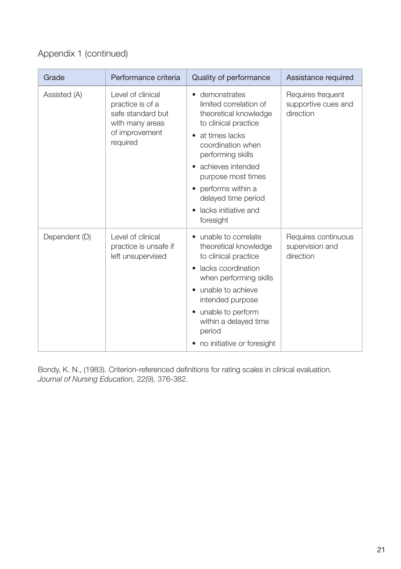#### Appendix 1 (continued)

| Grade         | Performance criteria                                                                                        | Quality of performance                                                                                                                                                                                                                                                            | Assistance required                                   |
|---------------|-------------------------------------------------------------------------------------------------------------|-----------------------------------------------------------------------------------------------------------------------------------------------------------------------------------------------------------------------------------------------------------------------------------|-------------------------------------------------------|
| Assisted (A)  | Level of clinical<br>practice is of a<br>safe standard but<br>with many areas<br>of improvement<br>required | • demonstrates<br>limited correlation of<br>theoretical knowledge<br>to clinical practice<br>at times lacks<br>coordination when<br>performing skills<br>achieves intended<br>purpose most times<br>performs within a<br>delayed time period<br>lacks initiative and<br>foresight | Requires frequent<br>supportive cues and<br>direction |
| Dependent (D) | Level of clinical<br>practice is unsafe if<br>left unsupervised                                             | unable to correlate<br>theoretical knowledge<br>to clinical practice<br>lacks coordination<br>when performing skills<br>unable to achieve<br>intended purpose<br>unable to perform<br>within a delayed time<br>period<br>no initiative or foresight                               | Requires continuous<br>supervision and<br>direction   |

Bondy, K. N., (1983). Criterion-referenced definitions for rating scales in clinical evaluation. *Journal of Nursing Education*, 22(9), 376-382.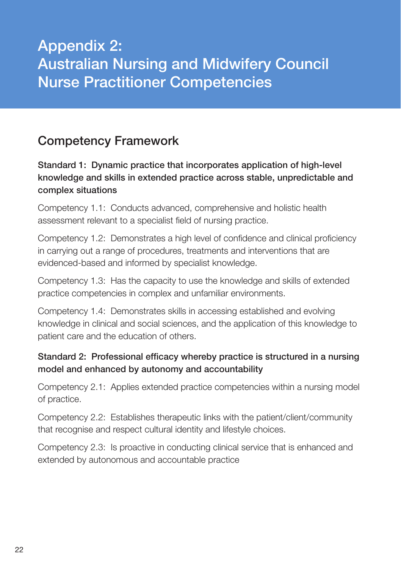### Appendix 2: Australian Nursing and Midwifery Council Nurse Practitioner Competencies

### Competency Framework

#### Standard 1: Dynamic practice that incorporates application of high-level knowledge and skills in extended practice across stable, unpredictable and complex situations

Competency 1.1: Conducts advanced, comprehensive and holistic health assessment relevant to a specialist field of nursing practice.

Competency 1.2: Demonstrates a high level of confidence and clinical proficiency in carrying out a range of procedures, treatments and interventions that are evidenced-based and informed by specialist knowledge.

Competency 1.3: Has the capacity to use the knowledge and skills of extended practice competencies in complex and unfamiliar environments.

Competency 1.4: Demonstrates skills in accessing established and evolving knowledge in clinical and social sciences, and the application of this knowledge to patient care and the education of others.

#### Standard 2: Professional efficacy whereby practice is structured in a nursing model and enhanced by autonomy and accountability

Competency 2.1: Applies extended practice competencies within a nursing model of practice.

Competency 2.2: Establishes therapeutic links with the patient/client/community that recognise and respect cultural identity and lifestyle choices.

Competency 2.3: Is proactive in conducting clinical service that is enhanced and extended by autonomous and accountable practice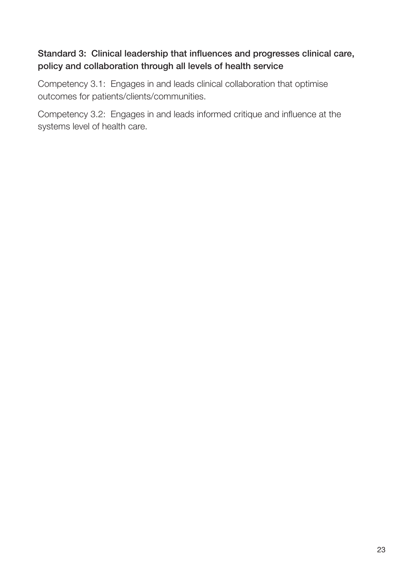#### Standard 3: Clinical leadership that influences and progresses clinical care, policy and collaboration through all levels of health service

Competency 3.1: Engages in and leads clinical collaboration that optimise outcomes for patients/clients/communities.

Competency 3.2: Engages in and leads informed critique and influence at the systems level of health care.